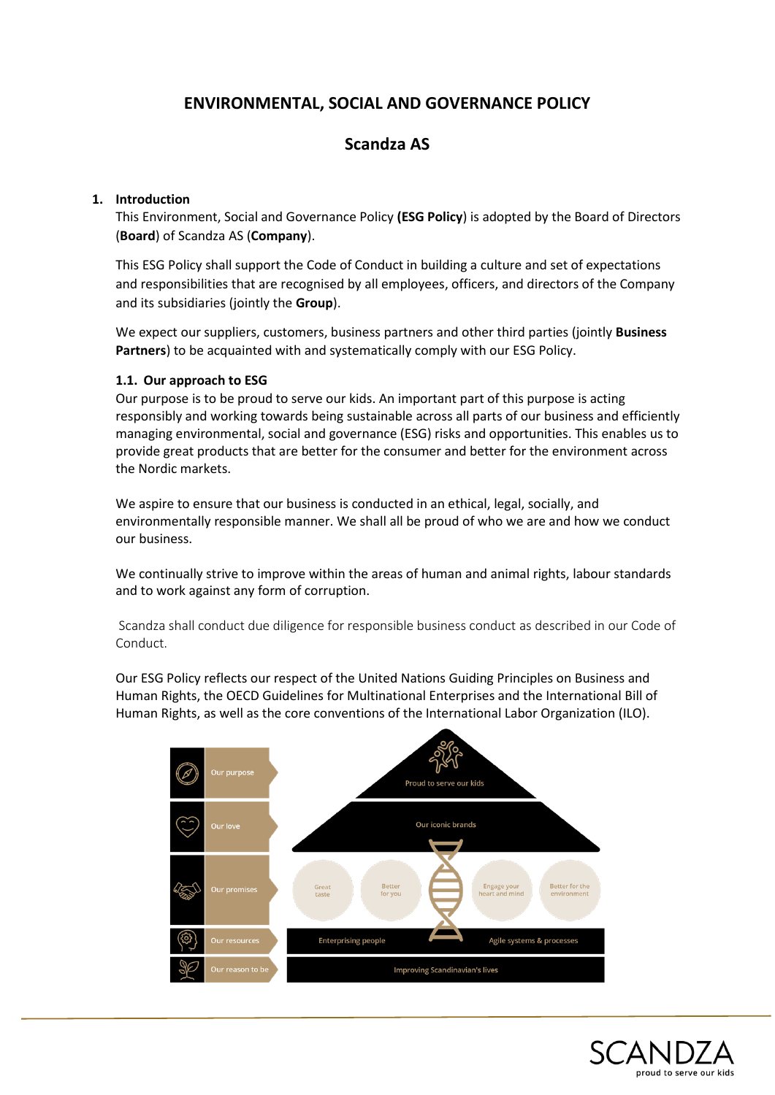# **ENVIRONMENTAL, SOCIAL AND GOVERNANCE POLICY**

# **Scandza AS**

#### **1. Introduction**

This Environment, Social and Governance Policy **(ESG Policy**) is adopted by the Board of Directors (**Board**) of Scandza AS (**Company**).

This ESG Policy shall support the Code of Conduct in building a culture and set of expectations and responsibilities that are recognised by all employees, officers, and directors of the Company and its subsidiaries (jointly the **Group**).

We expect our suppliers, customers, business partners and other third parties (jointly **Business Partners**) to be acquainted with and systematically comply with our ESG Policy.

#### **1.1. Our approach to ESG**

Our purpose is to be proud to serve our kids. An important part of this purpose is acting responsibly and working towards being sustainable across all parts of our business and efficiently managing environmental, social and governance (ESG) risks and opportunities. This enables us to provide great products that are better for the consumer and better for the environment across the Nordic markets.

We aspire to ensure that our business is conducted in an ethical, legal, socially, and environmentally responsible manner. We shall all be proud of who we are and how we conduct our business.

We continually strive to improve within the areas of human and animal rights, labour standards and to work against any form of corruption.

Scandza shall conduct due diligence for responsible business conduct as described in our Code of Conduct.

Our ESG Policy reflects our respect of the United Nations Guiding Principles on Business and Human Rights, the OECD Guidelines for Multinational Enterprises and the International Bill of Human Rights, as well as the core conventions of the International Labor Organization (ILO).



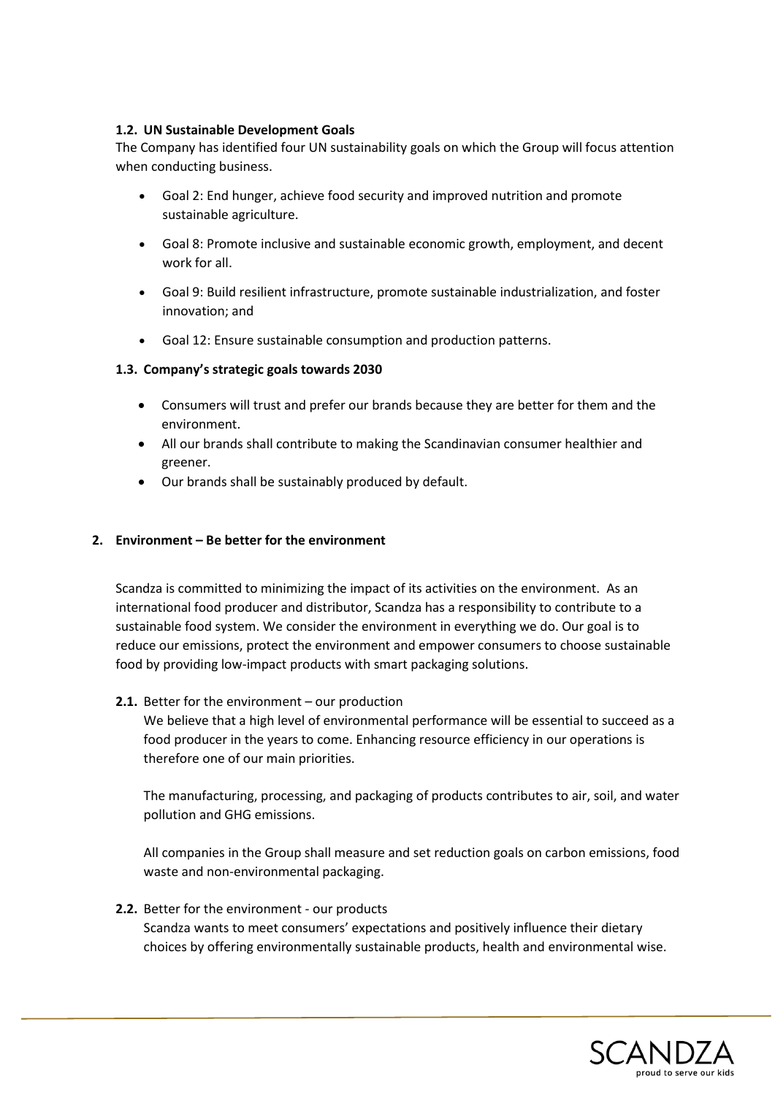#### **1.2. UN Sustainable Development Goals**

The Company has identified four UN sustainability goals on which the Group will focus attention when conducting business.

- Goal 2: End hunger, achieve food security and improved nutrition and promote sustainable agriculture.
- Goal 8: Promote inclusive and sustainable economic growth, employment, and decent work for all.
- Goal 9: Build resilient infrastructure, promote sustainable industrialization, and foster innovation; and
- Goal 12: Ensure sustainable consumption and production patterns.

#### **1.3. Company's strategic goals towards 2030**

- Consumers will trust and prefer our brands because they are better for them and the environment.
- All our brands shall contribute to making the Scandinavian consumer healthier and greener.
- Our brands shall be sustainably produced by default.

### **2. Environment – Be better for the environment**

Scandza is committed to minimizing the impact of its activities on the environment. As an international food producer and distributor, Scandza has a responsibility to contribute to a sustainable food system. We consider the environment in everything we do. Our goal is to reduce our emissions, protect the environment and empower consumers to choose sustainable food by providing low-impact products with smart packaging solutions.

#### **2.1.** Better for the environment – our production

We believe that a high level of environmental performance will be essential to succeed as a food producer in the years to come. Enhancing resource efficiency in our operations is therefore one of our main priorities.

The manufacturing, processing, and packaging of products contributes to air, soil, and water pollution and GHG emissions.

All companies in the Group shall measure and set reduction goals on carbon emissions, food waste and non-environmental packaging.

#### **2.2.** Better for the environment - our products

Scandza wants to meet consumers' expectations and positively influence their dietary choices by offering environmentally sustainable products, health and environmental wise.

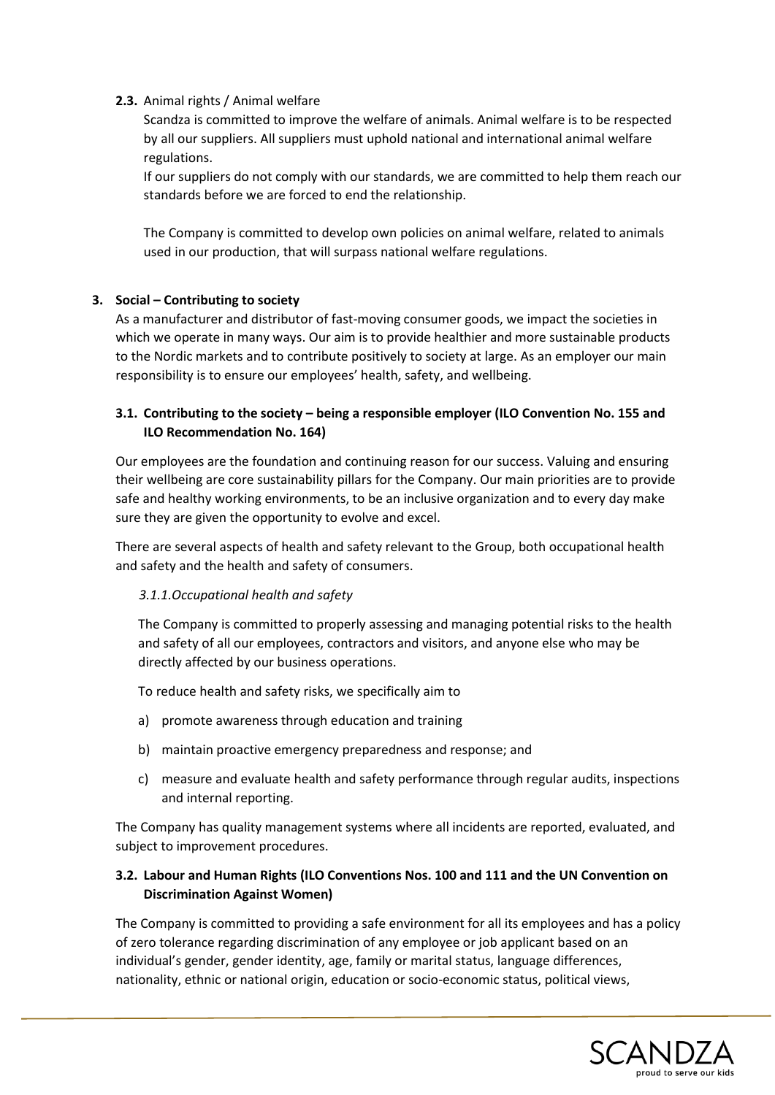#### **2.3.** Animal rights / Animal welfare

Scandza is committed to improve the welfare of animals. Animal welfare is to be respected by all our suppliers. All suppliers must uphold national and international animal welfare regulations.

If our suppliers do not comply with our standards, we are committed to help them reach our standards before we are forced to end the relationship.

The Company is committed to develop own policies on animal welfare, related to animals used in our production, that will surpass national welfare regulations.

#### **3. Social – Contributing to society**

As a manufacturer and distributor of fast-moving consumer goods, we impact the societies in which we operate in many ways. Our aim is to provide healthier and more sustainable products to the Nordic markets and to contribute positively to society at large. As an employer our main responsibility is to ensure our employees' health, safety, and wellbeing.

### **3.1. Contributing to the society – being a responsible employer (ILO Convention No. 155 and ILO Recommendation No. 164)**

Our employees are the foundation and continuing reason for our success. Valuing and ensuring their wellbeing are core sustainability pillars for the Company. Our main priorities are to provide safe and healthy working environments, to be an inclusive organization and to every day make sure they are given the opportunity to evolve and excel.

There are several aspects of health and safety relevant to the Group, both occupational health and safety and the health and safety of consumers.

#### *3.1.1.Occupational health and safety*

The Company is committed to properly assessing and managing potential risks to the health and safety of all our employees, contractors and visitors, and anyone else who may be directly affected by our business operations.

To reduce health and safety risks, we specifically aim to

- a) promote awareness through education and training
- b) maintain proactive emergency preparedness and response; and
- c) measure and evaluate health and safety performance through regular audits, inspections and internal reporting.

The Company has quality management systems where all incidents are reported, evaluated, and subject to improvement procedures.

## **3.2. Labour and Human Rights (ILO Conventions Nos. 100 and 111 and the UN Convention on Discrimination Against Women)**

The Company is committed to providing a safe environment for all its employees and has a policy of zero tolerance regarding discrimination of any employee or job applicant based on an individual's gender, gender identity, age, family or marital status, language differences, nationality, ethnic or national origin, education or socio-economic status, political views,

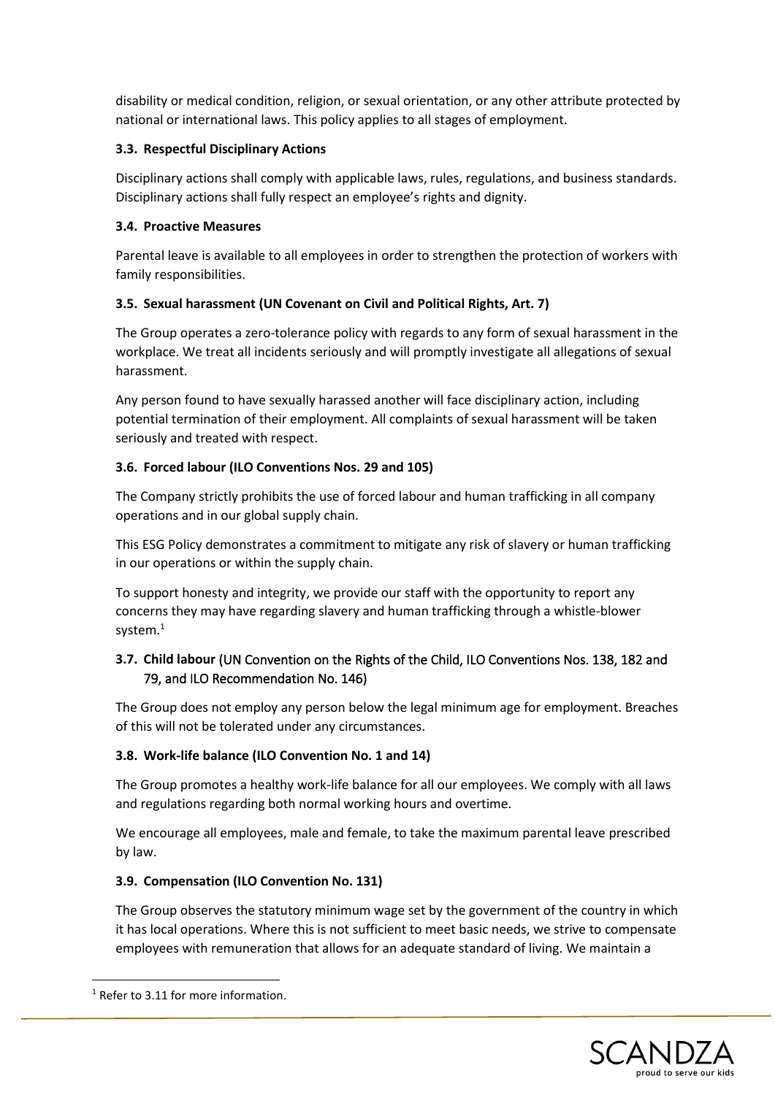disability or medical condition, religion, or sexual orientation, or any other attribute protected by national or international laws. This policy applies to all stages of employment.

## **3.3. Respectful Disciplinary Actions**

Disciplinary actions shall comply with applicable laws, rules, regulations, and business standards. Disciplinary actions shall fully respect an employee's rights and dignity.

#### **3.4. Proactive Measures**

Parental leave is available to all employees in order to strengthen the protection of workers with family responsibilities.

## **3.5. Sexual harassment (UN Covenant on Civil and Political Rights, Art. 7)**

The Group operates a zero-tolerance policy with regards to any form of sexual harassment in the workplace. We treat all incidents seriously and will promptly investigate all allegations of sexual harassment.

Any person found to have sexually harassed another will face disciplinary action, including potential termination of their employment. All complaints of sexual harassment will be taken seriously and treated with respect.

## **3.6. Forced labour (ILO Conventions Nos. 29 and 105)**

The Company strictly prohibits the use of forced labour and human trafficking in all company operations and in our global supply chain.

This ESG Policy demonstrates a commitment to mitigate any risk of slavery or human trafficking in our operations or within the supply chain.

To support honesty and integrity, we provide our staff with the opportunity to report any concerns they may have regarding slavery and human trafficking through a whistle-blower system. 1

## **3.7. Child labour** (UN Convention on the Rights of the Child, ILO Conventions Nos. 138, 182 and 79, and ILO Recommendation No. 146)

The Group does not employ any person below the legal minimum age for employment. Breaches of this will not be tolerated under any circumstances.

## **3.8. Work-life balance (ILO Convention No. 1 and 14)**

The Group promotes a healthy work-life balance for all our employees. We comply with all laws and regulations regarding both normal working hours and overtime.

We encourage all employees, male and female, to take the maximum parental leave prescribed by law.

#### **3.9. Compensation (ILO Convention No. 131)**

The Group observes the statutory minimum wage set by the government of the country in which it has local operations. Where this is not sufficient to meet basic needs, we strive to compensate employees with remuneration that allows for an adequate standard of living. We maintain a



<sup>&</sup>lt;sup>1</sup> Refer to 3.11 for more information.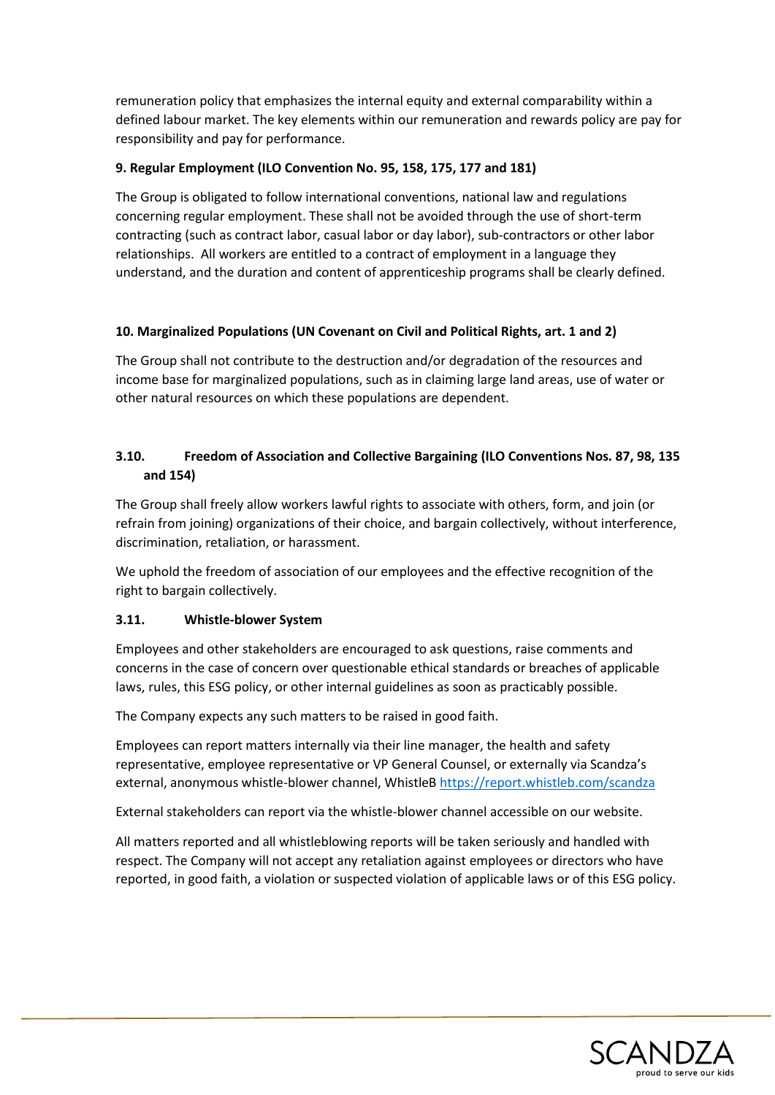remuneration policy that emphasizes the internal equity and external comparability within a defined labour market. The key elements within our remuneration and rewards policy are pay for responsibility and pay for performance.

## **9. Regular Employment (ILO Convention No. 95, 158, 175, 177 and 181)**

The Group is obligated to follow international conventions, national law and regulations concerning regular employment. These shall not be avoided through the use of short-term contracting (such as contract labor, casual labor or day labor), sub-contractors or other labor relationships. All workers are entitled to a contract of employment in a language they understand, and the duration and content of apprenticeship programs shall be clearly defined.

## **10. Marginalized Populations (UN Covenant on Civil and Political Rights, art. 1 and 2)**

The Group shall not contribute to the destruction and/or degradation of the resources and income base for marginalized populations, such as in claiming large land areas, use of water or other natural resources on which these populations are dependent.

## **3.10. Freedom of Association and Collective Bargaining (ILO Conventions Nos. 87, 98, 135 and 154)**

The Group shall freely allow workers lawful rights to associate with others, form, and join (or refrain from joining) organizations of their choice, and bargain collectively, without interference, discrimination, retaliation, or harassment.

We uphold the freedom of association of our employees and the effective recognition of the right to bargain collectively.

## **3.11. Whistle-blower System**

Employees and other stakeholders are encouraged to ask questions, raise comments and concerns in the case of concern over questionable ethical standards or breaches of applicable laws, rules, this ESG policy, or other internal guidelines as soon as practicably possible.

The Company expects any such matters to be raised in good faith.

Employees can report matters internally via their line manager, the health and safety representative, employee representative or VP General Counsel, or externally via Scandza's external, anonymous whistle-blower channel, WhistleB<https://report.whistleb.com/scandza>

External stakeholders can report via the whistle-blower channel accessible on our website.

All matters reported and all whistleblowing reports will be taken seriously and handled with respect. The Company will not accept any retaliation against employees or directors who have reported, in good faith, a violation or suspected violation of applicable laws or of this ESG policy.

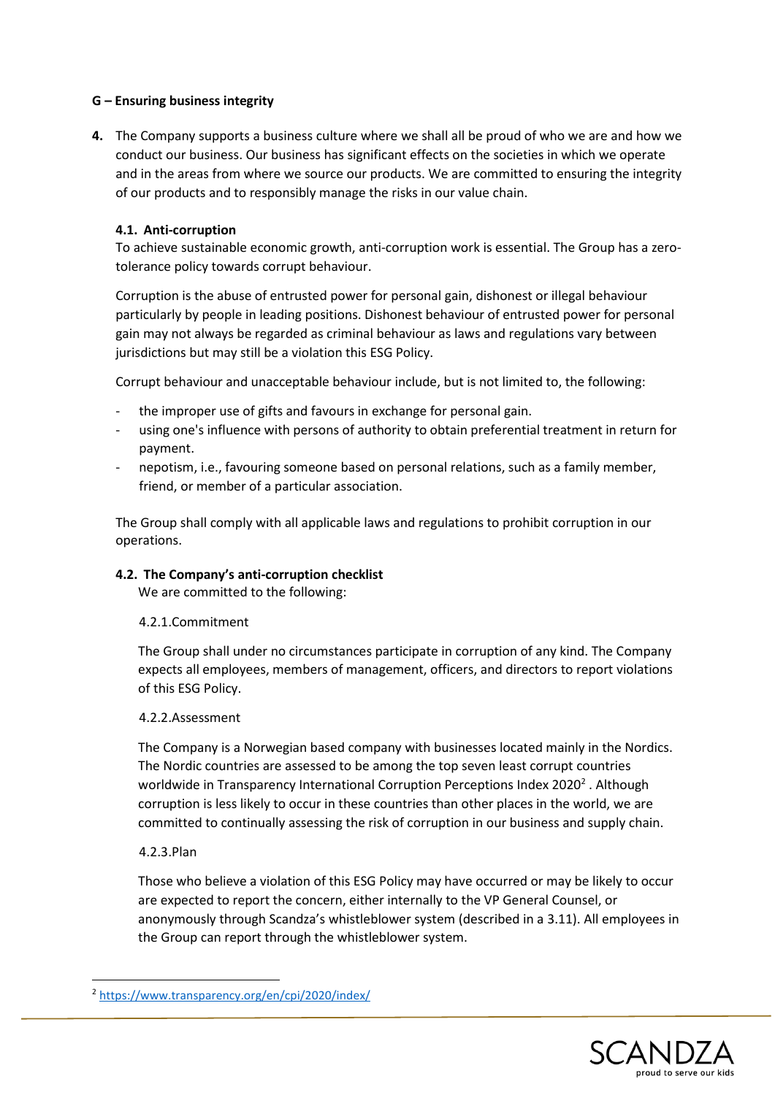#### **G – Ensuring business integrity**

**4.** The Company supports a business culture where we shall all be proud of who we are and how we conduct our business. Our business has significant effects on the societies in which we operate and in the areas from where we source our products. We are committed to ensuring the integrity of our products and to responsibly manage the risks in our value chain.

#### **4.1. Anti-corruption**

To achieve sustainable economic growth, anti-corruption work is essential. The Group has a zerotolerance policy towards corrupt behaviour.

Corruption is the abuse of entrusted power for personal gain, dishonest or illegal behaviour particularly by people in leading positions. Dishonest behaviour of entrusted power for personal gain may not always be regarded as criminal behaviour as laws and regulations vary between jurisdictions but may still be a violation this ESG Policy.

Corrupt behaviour and unacceptable behaviour include, but is not limited to, the following:

- the improper use of gifts and favours in exchange for personal gain.
- using one's influence with persons of authority to obtain preferential treatment in return for payment.
- nepotism, i.e., favouring someone based on personal relations, such as a family member, friend, or member of a particular association.

The Group shall comply with all applicable laws and regulations to prohibit corruption in our operations.

#### **4.2. The Company's anti-corruption checklist**

We are committed to the following:

#### 4.2.1.Commitment

The Group shall under no circumstances participate in corruption of any kind. The Company expects all employees, members of management, officers, and directors to report violations of this ESG Policy.

#### 4.2.2.Assessment

The Company is a Norwegian based company with businesses located mainly in the Nordics. The Nordic countries are assessed to be among the top seven least corrupt countries worldwide in Transparency International Corruption Perceptions Index 2020<sup>2</sup>. Although corruption is less likely to occur in these countries than other places in the world, we are committed to continually assessing the risk of corruption in our business and supply chain.

#### 4.2.3.Plan

Those who believe a violation of this ESG Policy may have occurred or may be likely to occur are expected to report the concern, either internally to the VP General Counsel, or anonymously through Scandza's whistleblower system (described in a 3.11). All employees in the Group can report through the whistleblower system.



<sup>2</sup> <https://www.transparency.org/en/cpi/2020/index/>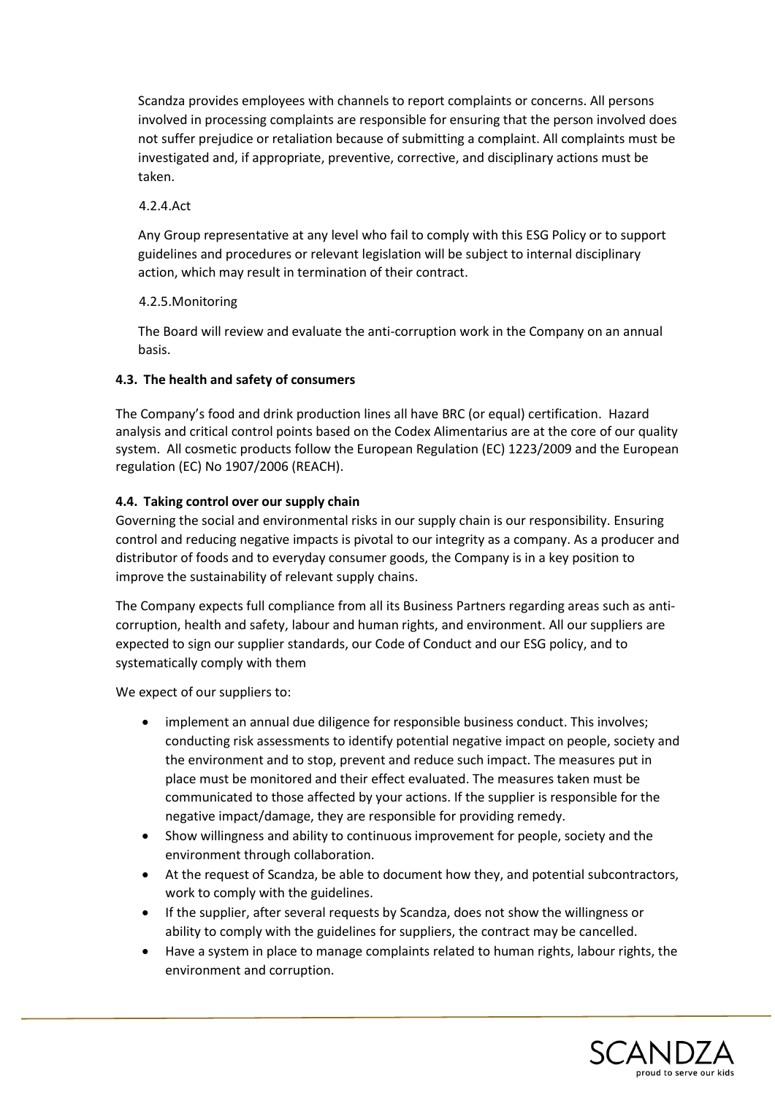Scandza provides employees with channels to report complaints or concerns. All persons involved in processing complaints are responsible for ensuring that the person involved does not suffer prejudice or retaliation because of submitting a complaint. All complaints must be investigated and, if appropriate, preventive, corrective, and disciplinary actions must be taken.

#### 4.2.4.Act

Any Group representative at any level who fail to comply with this ESG Policy or to support guidelines and procedures or relevant legislation will be subject to internal disciplinary action, which may result in termination of their contract.

## 4.2.5.Monitoring

The Board will review and evaluate the anti-corruption work in the Company on an annual basis.

## **4.3. The health and safety of consumers**

The Company's food and drink production lines all have BRC (or equal) certification. Hazard analysis and critical control points based on the Codex Alimentarius are at the core of our quality system. All cosmetic products follow the European Regulation (EC) 1223/2009 and the European regulation (EC) No 1907/2006 (REACH).

## **4.4. Taking control over our supply chain**

Governing the social and environmental risks in our supply chain is our responsibility. Ensuring control and reducing negative impacts is pivotal to our integrity as a company. As a producer and distributor of foods and to everyday consumer goods, the Company is in a key position to improve the sustainability of relevant supply chains.

The Company expects full compliance from all its Business Partners regarding areas such as anticorruption, health and safety, labour and human rights, and environment. All our suppliers are expected to sign our supplier standards, our Code of Conduct and our ESG policy, and to systematically comply with them

We expect of our suppliers to:

- implement an annual due diligence for responsible business conduct. This involves; conducting risk assessments to identify potential negative impact on people, society and the environment and to stop, prevent and reduce such impact. The measures put in place must be monitored and their effect evaluated. The measures taken must be communicated to those affected by your actions. If the supplier is responsible for the negative impact/damage, they are responsible for providing remedy.
- Show willingness and ability to continuous improvement for people, society and the environment through collaboration.
- At the request of Scandza, be able to document how they, and potential subcontractors, work to comply with the guidelines.
- If the supplier, after several requests by Scandza, does not show the willingness or ability to comply with the guidelines for suppliers, the contract may be cancelled.
- Have a system in place to manage complaints related to human rights, labour rights, the environment and corruption.